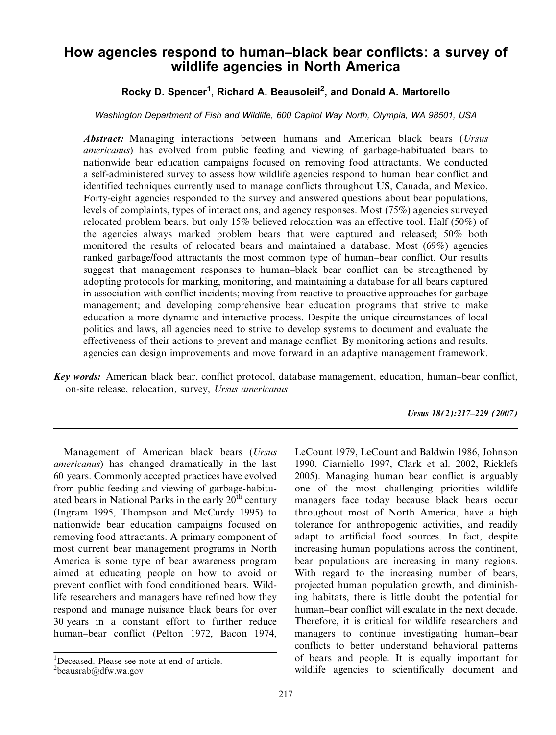# How agencies respond to human–black bear conflicts: a survey of wildlife agencies in North America

## Rocky D. Spencer<sup>1</sup>, Richard A. Beausoleil<sup>2</sup>, and Donald A. Martorello

Washington Department of Fish and Wildlife, 600 Capitol Way North, Olympia, WA 98501, USA

Abstract: Managing interactions between humans and American black bears (Ursus americanus) has evolved from public feeding and viewing of garbage-habituated bears to nationwide bear education campaigns focused on removing food attractants. We conducted a self-administered survey to assess how wildlife agencies respond to human–bear conflict and identified techniques currently used to manage conflicts throughout US, Canada, and Mexico. Forty-eight agencies responded to the survey and answered questions about bear populations, levels of complaints, types of interactions, and agency responses. Most (75%) agencies surveyed relocated problem bears, but only 15% believed relocation was an effective tool. Half (50%) of the agencies always marked problem bears that were captured and released; 50% both monitored the results of relocated bears and maintained a database. Most  $(69%)$  agencies ranked garbage/food attractants the most common type of human–bear conflict. Our results suggest that management responses to human–black bear conflict can be strengthened by adopting protocols for marking, monitoring, and maintaining a database for all bears captured in association with conflict incidents; moving from reactive to proactive approaches for garbage management; and developing comprehensive bear education programs that strive to make education a more dynamic and interactive process. Despite the unique circumstances of local politics and laws, all agencies need to strive to develop systems to document and evaluate the effectiveness of their actions to prevent and manage conflict. By monitoring actions and results, agencies can design improvements and move forward in an adaptive management framework.

Key words: American black bear, conflict protocol, database management, education, human–bear conflict, on-site release, relocation, survey, Ursus americanus

Ursus 18(2):217–229 (2007)

Management of American black bears (Ursus americanus) has changed dramatically in the last 60 years. Commonly accepted practices have evolved from public feeding and viewing of garbage-habituated bears in National Parks in the early  $20<sup>th</sup>$  century (Ingram 1995, Thompson and McCurdy 1995) to nationwide bear education campaigns focused on removing food attractants. A primary component of most current bear management programs in North America is some type of bear awareness program aimed at educating people on how to avoid or prevent conflict with food conditioned bears. Wildlife researchers and managers have refined how they respond and manage nuisance black bears for over 30 years in a constant effort to further reduce human–bear conflict (Pelton 1972, Bacon 1974, LeCount 1979, LeCount and Baldwin 1986, Johnson 1990, Ciarniello 1997, Clark et al. 2002, Ricklefs 2005). Managing human–bear conflict is arguably one of the most challenging priorities wildlife managers face today because black bears occur throughout most of North America, have a high tolerance for anthropogenic activities, and readily adapt to artificial food sources. In fact, despite increasing human populations across the continent, bear populations are increasing in many regions. With regard to the increasing number of bears, projected human population growth, and diminishing habitats, there is little doubt the potential for human–bear conflict will escalate in the next decade. Therefore, it is critical for wildlife researchers and managers to continue investigating human–bear conflicts to better understand behavioral patterns of bears and people. It is equally important for wildlife agencies to scientifically document and

<sup>&</sup>lt;sup>1</sup>Deceased. Please see note at end of article.

 $2$ beausrab@dfw.wa.gov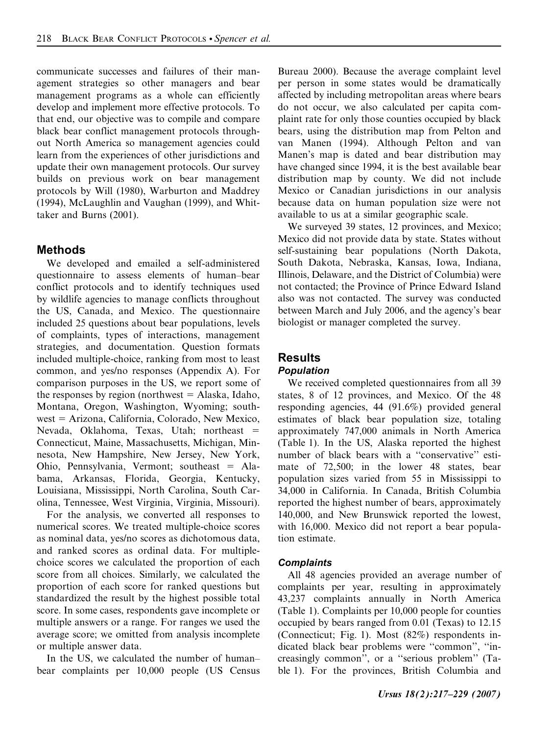communicate successes and failures of their management strategies so other managers and bear management programs as a whole can efficiently develop and implement more effective protocols. To that end, our objective was to compile and compare black bear conflict management protocols throughout North America so management agencies could learn from the experiences of other jurisdictions and update their own management protocols. Our survey builds on previous work on bear management protocols by Will (1980), Warburton and Maddrey (1994), McLaughlin and Vaughan (1999), and Whittaker and Burns (2001).

## Methods

We developed and emailed a self-administered questionnaire to assess elements of human–bear conflict protocols and to identify techniques used by wildlife agencies to manage conflicts throughout the US, Canada, and Mexico. The questionnaire included 25 questions about bear populations, levels of complaints, types of interactions, management strategies, and documentation. Question formats included multiple-choice, ranking from most to least common, and yes/no responses (Appendix A). For comparison purposes in the US, we report some of the responses by region (northwest  $=$  Alaska, Idaho, Montana, Oregon, Washington, Wyoming; southwest = Arizona, California, Colorado, New Mexico, Nevada, Oklahoma, Texas, Utah; northeast = Connecticut, Maine, Massachusetts, Michigan, Minnesota, New Hampshire, New Jersey, New York, Ohio, Pennsylvania, Vermont; southeast = Alabama, Arkansas, Florida, Georgia, Kentucky, Louisiana, Mississippi, North Carolina, South Carolina, Tennessee, West Virginia, Virginia, Missouri).

For the analysis, we converted all responses to numerical scores. We treated multiple-choice scores as nominal data, yes/no scores as dichotomous data, and ranked scores as ordinal data. For multiplechoice scores we calculated the proportion of each score from all choices. Similarly, we calculated the proportion of each score for ranked questions but standardized the result by the highest possible total score. In some cases, respondents gave incomplete or multiple answers or a range. For ranges we used the average score; we omitted from analysis incomplete or multiple answer data.

In the US, we calculated the number of human– bear complaints per 10,000 people (US Census Bureau 2000). Because the average complaint level per person in some states would be dramatically affected by including metropolitan areas where bears do not occur, we also calculated per capita complaint rate for only those counties occupied by black bears, using the distribution map from Pelton and van Manen (1994). Although Pelton and van Manen's map is dated and bear distribution may have changed since 1994, it is the best available bear distribution map by county. We did not include Mexico or Canadian jurisdictions in our analysis because data on human population size were not available to us at a similar geographic scale.

We surveyed 39 states, 12 provinces, and Mexico; Mexico did not provide data by state. States without self-sustaining bear populations (North Dakota, South Dakota, Nebraska, Kansas, Iowa, Indiana, Illinois, Delaware, and the District of Columbia) were not contacted; the Province of Prince Edward Island also was not contacted. The survey was conducted between March and July 2006, and the agency's bear biologist or manager completed the survey.

## Results

### Population

We received completed questionnaires from all 39 states, 8 of 12 provinces, and Mexico. Of the 48 responding agencies, 44 (91.6%) provided general estimates of black bear population size, totaling approximately 747,000 animals in North America (Table 1). In the US, Alaska reported the highest number of black bears with a ''conservative'' estimate of 72,500; in the lower 48 states, bear population sizes varied from 55 in Mississippi to 34,000 in California. In Canada, British Columbia reported the highest number of bears, approximately 140,000, and New Brunswick reported the lowest, with 16,000. Mexico did not report a bear population estimate.

### **Complaints**

All 48 agencies provided an average number of complaints per year, resulting in approximately 43,237 complaints annually in North America (Table 1). Complaints per 10,000 people for counties occupied by bears ranged from 0.01 (Texas) to 12.15 (Connecticut; Fig. 1). Most (82%) respondents indicated black bear problems were ''common'', ''increasingly common'', or a ''serious problem'' (Table 1). For the provinces, British Columbia and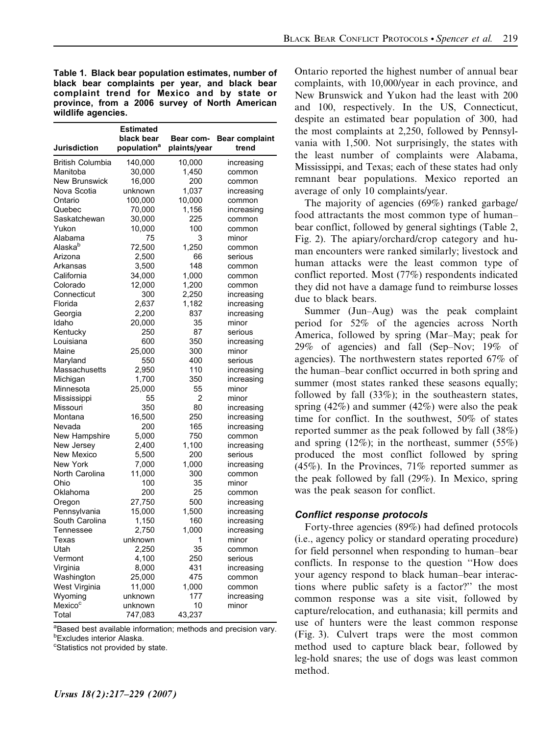Table 1. Black bear population estimates, number of black bear complaints per year, and black bear complaint trend for Mexico and by state or province, from a 2006 survey of North American wildlife agencies.

| <b>Estimated</b>          |                                       |                           |                                |  |  |  |  |  |  |
|---------------------------|---------------------------------------|---------------------------|--------------------------------|--|--|--|--|--|--|
| Jurisdiction              | black bear<br>population <sup>a</sup> | Bear com-<br>plaints/year | <b>Bear complaint</b><br>trend |  |  |  |  |  |  |
| <b>British Columbia</b>   | 140,000                               | 10,000                    | increasing                     |  |  |  |  |  |  |
| Manitoba                  | 30,000                                | 1,450                     | common                         |  |  |  |  |  |  |
| <b>New Brunswick</b>      | 16,000                                | 200                       | common                         |  |  |  |  |  |  |
| Nova Scotia               | unknown                               | 1,037                     | increasing                     |  |  |  |  |  |  |
| Ontario                   | 100,000                               | 10,000                    | common                         |  |  |  |  |  |  |
| Quebec                    | 70,000                                | 1,156                     | increasing                     |  |  |  |  |  |  |
| Saskatchewan              | 30,000                                | 225                       | common                         |  |  |  |  |  |  |
| Yukon                     | 10,000                                | 100                       | common                         |  |  |  |  |  |  |
| Alabama                   | 75                                    | 3                         | minor                          |  |  |  |  |  |  |
| Alaska <sup>b</sup>       | 72,500                                | 1,250                     | common                         |  |  |  |  |  |  |
| Arizona                   | 2,500                                 | 66                        | serious                        |  |  |  |  |  |  |
| Arkansas                  | 3,500                                 | 148                       | common                         |  |  |  |  |  |  |
| California                | 34,000                                | 1,000                     | common                         |  |  |  |  |  |  |
| Colorado                  | 12,000                                | 1,200                     | common                         |  |  |  |  |  |  |
| Connecticut               | 300                                   | 2,250                     | increasing                     |  |  |  |  |  |  |
| Florida                   | 2,637                                 | 1,182                     | increasing                     |  |  |  |  |  |  |
| Georgia                   | 2,200                                 | 837                       | increasing                     |  |  |  |  |  |  |
| Idaho                     | 20,000                                | 35                        | minor                          |  |  |  |  |  |  |
| Kentucky                  | 250                                   | 87                        | serious                        |  |  |  |  |  |  |
| Louisiana                 | 600                                   | 350                       | increasing                     |  |  |  |  |  |  |
| Maine                     | 25,000                                | 300                       | minor                          |  |  |  |  |  |  |
|                           | 550                                   | 400                       | serious                        |  |  |  |  |  |  |
| Maryland<br>Massachusetts | 2,950                                 | 110                       |                                |  |  |  |  |  |  |
| Michigan                  | 1,700                                 | 350                       | increasing<br>increasing       |  |  |  |  |  |  |
| Minnesota                 | 25,000                                | 55                        | minor                          |  |  |  |  |  |  |
|                           | 55                                    | $\overline{2}$            |                                |  |  |  |  |  |  |
| Mississippi               | 350                                   | 80                        | minor                          |  |  |  |  |  |  |
| Missouri                  |                                       |                           | increasing                     |  |  |  |  |  |  |
| Montana                   | 16,500<br>200                         | 250                       | increasing                     |  |  |  |  |  |  |
| Nevada                    |                                       | 165                       | increasing                     |  |  |  |  |  |  |
| New Hampshire             | 5,000                                 | 750                       | common                         |  |  |  |  |  |  |
| New Jersey                | 2,400                                 | 1,100                     | increasing                     |  |  |  |  |  |  |
| <b>New Mexico</b>         | 5,500                                 | 200                       | serious                        |  |  |  |  |  |  |
| New York                  | 7,000                                 | 1,000                     | increasing                     |  |  |  |  |  |  |
| North Carolina            | 11,000                                | 300                       | common                         |  |  |  |  |  |  |
| Ohio                      | 100                                   | 35                        | minor                          |  |  |  |  |  |  |
| Oklahoma                  | 200                                   | 25                        | common                         |  |  |  |  |  |  |
| Oregon                    | 27,750                                | 500                       | increasing                     |  |  |  |  |  |  |
| Pennsylvania              | 15,000                                | 1,500                     | increasing                     |  |  |  |  |  |  |
| South Carolina            | 1,150                                 | 160                       | increasing                     |  |  |  |  |  |  |
| Tennessee                 | 2,750                                 | 1,000                     | increasing                     |  |  |  |  |  |  |
| Texas                     | unknown                               | 1                         | minor                          |  |  |  |  |  |  |
| Utah                      | 2,250                                 | 35                        | common                         |  |  |  |  |  |  |
| Vermont                   | 4,100                                 | 250                       | serious                        |  |  |  |  |  |  |
| Virginia                  | 8,000                                 | 431                       | increasing                     |  |  |  |  |  |  |
| Washington                | 25,000                                | 475                       | common                         |  |  |  |  |  |  |
| West Virginia             | 11,000                                | 1,000                     | common                         |  |  |  |  |  |  |
| Wyoming                   | unknown                               | 177                       | increasing                     |  |  |  |  |  |  |
| Mexico <sup>c</sup>       | unknown                               | 10                        | minor                          |  |  |  |  |  |  |
| Total                     | 747,083                               | 43,237                    |                                |  |  |  |  |  |  |

<sup>a</sup>Based best available information; methods and precision vary. **<sup>b</sup>Excludes interior Alaska.** 

<sup>c</sup>Statistics not provided by state.

Ontario reported the highest number of annual bear complaints, with 10,000/year in each province, and New Brunswick and Yukon had the least with 200 and 100, respectively. In the US, Connecticut, despite an estimated bear population of 300, had the most complaints at 2,250, followed by Pennsylvania with 1,500. Not surprisingly, the states with the least number of complaints were Alabama, Mississippi, and Texas; each of these states had only remnant bear populations. Mexico reported an average of only 10 complaints/year.

The majority of agencies (69%) ranked garbage/ food attractants the most common type of human– bear conflict, followed by general sightings (Table 2, Fig. 2). The apiary/orchard/crop category and human encounters were ranked similarly; livestock and human attacks were the least common type of conflict reported. Most (77%) respondents indicated they did not have a damage fund to reimburse losses due to black bears.

Summer (Jun–Aug) was the peak complaint period for 52% of the agencies across North America, followed by spring (Mar–May; peak for 29% of agencies) and fall (Sep–Nov; 19% of agencies). The northwestern states reported 67% of the human–bear conflict occurred in both spring and summer (most states ranked these seasons equally; followed by fall (33%); in the southeastern states, spring  $(42\%)$  and summer  $(42\%)$  were also the peak time for conflict. In the southwest, 50% of states reported summer as the peak followed by fall (38%) and spring  $(12\%)$ ; in the northeast, summer  $(55\%)$ produced the most conflict followed by spring (45%). In the Provinces, 71% reported summer as the peak followed by fall (29%). In Mexico, spring was the peak season for conflict.

#### Conflict response protocols

Forty-three agencies (89%) had defined protocols (i.e., agency policy or standard operating procedure) for field personnel when responding to human–bear conflicts. In response to the question ''How does your agency respond to black human–bear interactions where public safety is a factor?'' the most common response was a site visit, followed by capture/relocation, and euthanasia; kill permits and use of hunters were the least common response (Fig. 3). Culvert traps were the most common method used to capture black bear, followed by leg-hold snares; the use of dogs was least common method.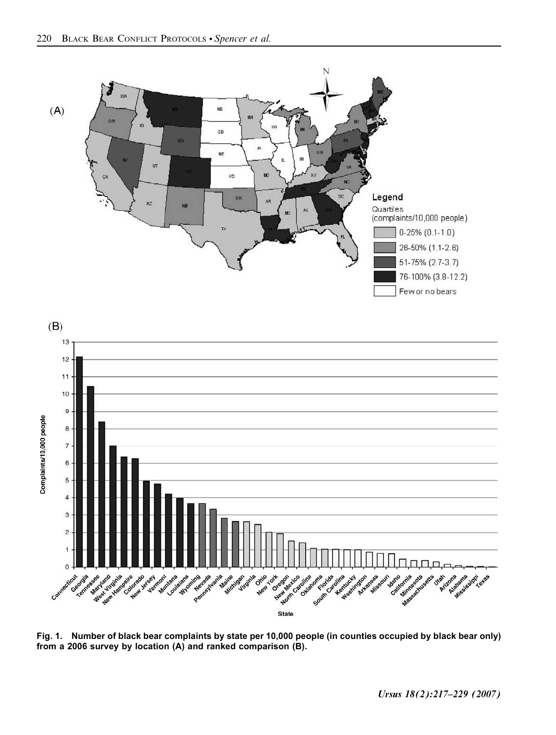

Fig. 1. Number of black bear complaints by state per 10,000 people (in counties occupied by black bear only) from a 2006 survey by location (A) and ranked comparison (B).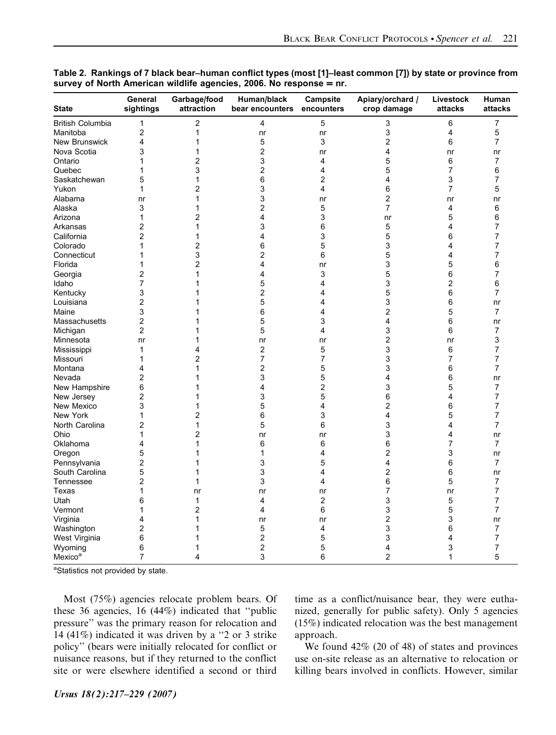| <b>State</b>            | General<br>sightings | Garbage/food<br>attraction | Human/black<br>bear encounters | Campsite<br>encounters  | Apiary/orchard /<br>crop damage | Livestock<br>attacks | Human<br>attacks |
|-------------------------|----------------------|----------------------------|--------------------------------|-------------------------|---------------------------------|----------------------|------------------|
| <b>British Columbia</b> | 1                    | $\overline{2}$             | $\overline{4}$                 | 5                       | 3                               | 6                    | 7                |
| Manitoba                | 2                    | 1                          | nr                             | nr                      | 3                               | 4                    | 5                |
| New Brunswick           | 4                    | 1                          | 5                              | 3                       | $\overline{2}$                  | 6                    | $\overline{7}$   |
| Nova Scotia             | 3                    | 1                          | 2                              | nr                      | 4                               | nr                   | nr               |
| Ontario                 | 1                    | $\overline{2}$             | 3                              | $\overline{\mathbf{4}}$ | 5                               | 6                    | $\overline{7}$   |
| Quebec                  | 1                    | 3                          | 2                              | 4                       | 5                               | 7                    | 6                |
| Saskatchewan            | 5                    | 1                          | 6                              | 2                       | 4                               | 3                    | 7                |
| Yukon                   | 1                    | $\overline{2}$             | 3                              | 4                       | 6                               | $\overline{7}$       | 5                |
| Alabama                 | nr                   | 1                          | 3                              | nr                      | $\overline{c}$                  | nr                   | nr               |
| Alaska                  | 3                    | 1                          | $\overline{c}$                 | 5                       | $\overline{7}$                  | 4                    | 6                |
| Arizona                 | 1                    | 2                          | 4                              | 3                       | nr                              | 5                    | 6                |
| Arkansas                | 2                    | 1                          | 3                              | 6                       | 5                               | 4                    | 7                |
| California              | $\overline{2}$       | 1                          | 4                              | 3                       | 5                               | 6                    | $\overline{7}$   |
| Colorado                | 1                    | 2                          | 6                              | 5                       | 3                               | 4                    | 7                |
| Connecticut             | 1                    | 3                          | 2                              | 6                       | 5                               | 4                    | $\overline{7}$   |
| Florida                 | 1                    | 2                          | 4                              | nr                      | 3                               | 5                    | 6                |
| Georgia                 | 2                    | 1                          | 4                              | 3                       | 5                               | 6                    | $\overline{7}$   |
| Idaho                   | 7                    | 1                          | 5                              | 4                       | 3                               | $\overline{2}$       | 6                |
| Kentucky                | 3                    | 1                          | 2                              | 4                       | 5                               | 6                    | 7                |
| Louisiana               | 2                    | 1                          | 5                              | 4                       | 3                               | 6                    | n <sub>r</sub>   |
| Maine                   | 3                    | 1                          | 6                              | 4                       | 2                               | 5                    | $\overline{7}$   |
| Massachusetts           | 2                    | 1                          | 5                              | 3                       | 4                               | 6                    | nr               |
| Michigan                | $\overline{2}$       | 1                          | 5                              | 4                       | 3                               | 6                    | $\overline{7}$   |
| Minnesota               | nr                   | 1                          | nr                             | nr                      | 2                               | nr                   | 3                |
| Mississippi             | 1                    | 4                          | $\overline{2}$                 | 5                       | 3                               | 6                    | 7                |
| Missouri                | 1                    | 2                          | 7                              | 7                       | 3                               | 7                    | 7                |
| Montana                 | 4                    | 1                          | $\overline{c}$                 | 5                       | 3                               | 6                    | 7                |
| Nevada                  | 2                    | 1                          | 3                              | 5                       | 4                               | 6                    | nr               |
| New Hampshire           | 6                    | 1                          | 4                              | 2                       | 3                               | 5                    | 7                |
| New Jersey              | 2                    | 1                          | 3                              | 5                       | 6                               | 4                    | $\overline{7}$   |
| New Mexico              | 3                    | 1                          | 5                              | 4                       | $\overline{c}$                  | 6                    | $\overline{7}$   |
| New York                | 1                    | 2                          | 6                              | 3                       | 4                               | 5                    | 7                |
| North Carolina          | $\overline{2}$       | 1                          | 5                              | 6                       | 3                               | 4                    | $\overline{7}$   |
|                         | 1                    | 2                          |                                |                         | 3                               |                      |                  |
| Ohio                    |                      | 1                          | nr                             | nr                      | 6                               | 4<br>7               | nr               |
| Oklahoma                | 4<br>5               | 1                          | 6<br>$\mathbf{1}$              | 6<br>$\overline{4}$     | $\overline{c}$                  | 3                    | $\overline{7}$   |
| Oregon                  |                      |                            |                                | 5                       |                                 |                      | nr               |
| Pennsylvania            | 2                    | 1                          | 3                              |                         | 4                               | 6                    | $\overline{7}$   |
| South Carolina          | 5                    | 1                          | 3                              | 4                       | $\overline{2}$                  | 6                    | nr               |
| Tennessee               | 2                    | $\mathbf{1}$               | 3                              | 4                       | 6                               | 5                    | 7                |
| Texas                   | 1                    | nr                         | nr                             | nr                      | 7                               | nr                   | $\overline{7}$   |
| Utah                    | 6                    | $\mathbf{1}$               | $\overline{4}$                 | $\overline{2}$          | 3                               | 5                    | $\overline{7}$   |
| Vermont                 | 1                    | $\overline{2}$             | 4                              | 6                       | 3                               | 5                    | $\overline{7}$   |
| Virginia                | 4                    | 1                          | nr                             | nr                      | $\overline{c}$                  | 3                    | nr               |
| Washington              | 2                    | 1                          | 5                              | 4                       | 3                               | 6                    | 7                |
| West Virginia           | 6                    | 1                          | 2                              | 5                       | 3                               | 4                    | 7                |
| Wyoming                 | 6                    | 1                          | $\overline{2}$                 | 5                       | 4                               | 3                    | $\overline{7}$   |
| Mexico <sup>a</sup>     | 7                    | 4                          | 3                              | 6                       | $\overline{2}$                  | 1                    | 5                |

Table 2. Rankings of 7 black bear–human conflict types (most [1]–least common [7]) by state or province from survey of North American wildlife agencies, 2006. No response = nr.

<sup>a</sup>Statistics not provided by state.

Most (75%) agencies relocate problem bears. Of these 36 agencies, 16 (44%) indicated that ''public pressure'' was the primary reason for relocation and 14 (41%) indicated it was driven by a ''2 or 3 strike policy'' (bears were initially relocated for conflict or nuisance reasons, but if they returned to the conflict site or were elsewhere identified a second or third time as a conflict/nuisance bear, they were euthanized, generally for public safety). Only 5 agencies (15%) indicated relocation was the best management approach.

We found  $42\%$  (20 of 48) of states and provinces use on-site release as an alternative to relocation or killing bears involved in conflicts. However, similar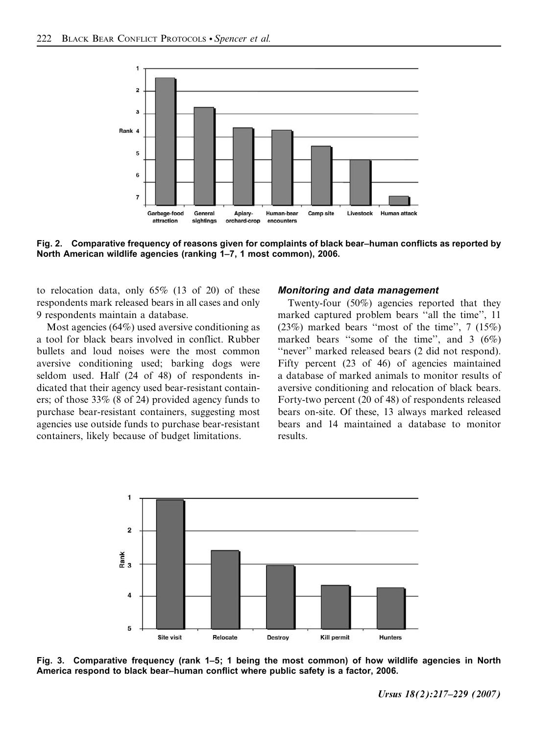

Fig. 2. Comparative frequency of reasons given for complaints of black bear–human conflicts as reported by North American wildlife agencies (ranking 1–7, 1 most common), 2006.

to relocation data, only 65% (13 of 20) of these respondents mark released bears in all cases and only 9 respondents maintain a database.

Most agencies (64%) used aversive conditioning as a tool for black bears involved in conflict. Rubber bullets and loud noises were the most common aversive conditioning used; barking dogs were seldom used. Half (24 of 48) of respondents indicated that their agency used bear-resistant containers; of those 33% (8 of 24) provided agency funds to purchase bear-resistant containers, suggesting most agencies use outside funds to purchase bear-resistant containers, likely because of budget limitations.

#### Monitoring and data management

Twenty-four (50%) agencies reported that they marked captured problem bears ''all the time'', 11  $(23%)$  marked bears "most of the time", 7  $(15%)$ marked bears "some of the time", and  $3(6%)$ "never" marked released bears (2 did not respond). Fifty percent (23 of 46) of agencies maintained a database of marked animals to monitor results of aversive conditioning and relocation of black bears. Forty-two percent (20 of 48) of respondents released bears on-site. Of these, 13 always marked released bears and 14 maintained a database to monitor results.



Fig. 3. Comparative frequency (rank 1–5; 1 being the most common) of how wildlife agencies in North America respond to black bear–human conflict where public safety is a factor, 2006.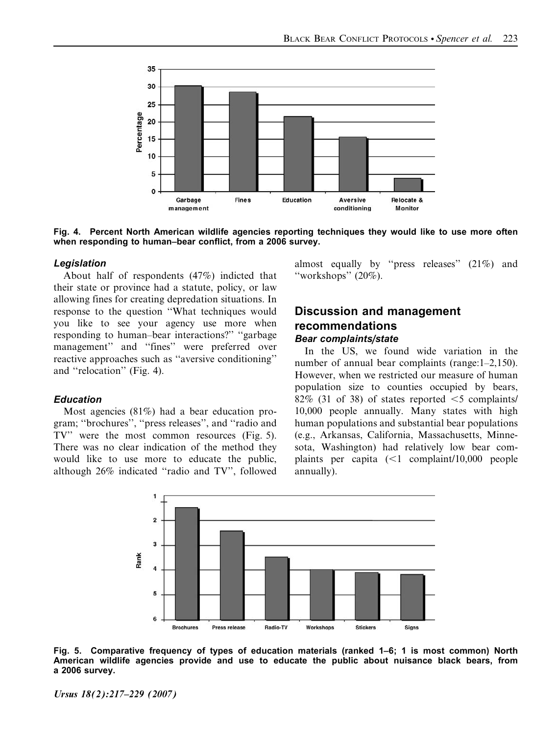

Fig. 4. Percent North American wildlife agencies reporting techniques they would like to use more often when responding to human–bear conflict, from a 2006 survey.

#### Legislation

About half of respondents (47%) indicted that their state or province had a statute, policy, or law allowing fines for creating depredation situations. In response to the question ''What techniques would you like to see your agency use more when responding to human–bear interactions?'' ''garbage management'' and ''fines'' were preferred over reactive approaches such as ''aversive conditioning'' and ''relocation'' (Fig. 4).

#### **Education**

Most agencies (81%) had a bear education program; ''brochures'', ''press releases'', and ''radio and TV'' were the most common resources (Fig. 5). There was no clear indication of the method they would like to use more to educate the public, although 26% indicated ''radio and TV'', followed almost equally by ''press releases'' (21%) and "workshops"  $(20\%)$ .

## Discussion and management recommendations Bear complaints/state

In the US, we found wide variation in the number of annual bear complaints (range:1–2,150). However, when we restricted our measure of human population size to counties occupied by bears,  $82\%$  (31 of 38) of states reported  $\leq$  complaints/ 10,000 people annually. Many states with high human populations and substantial bear populations (e.g., Arkansas, California, Massachusetts, Minnesota, Washington) had relatively low bear complaints per capita  $\leq 1$  complaint/10,000 people annually).



Fig. 5. Comparative frequency of types of education materials (ranked 1–6; 1 is most common) North American wildlife agencies provide and use to educate the public about nuisance black bears, from a 2006 survey.

Ursus 18(2):217–229 (2007)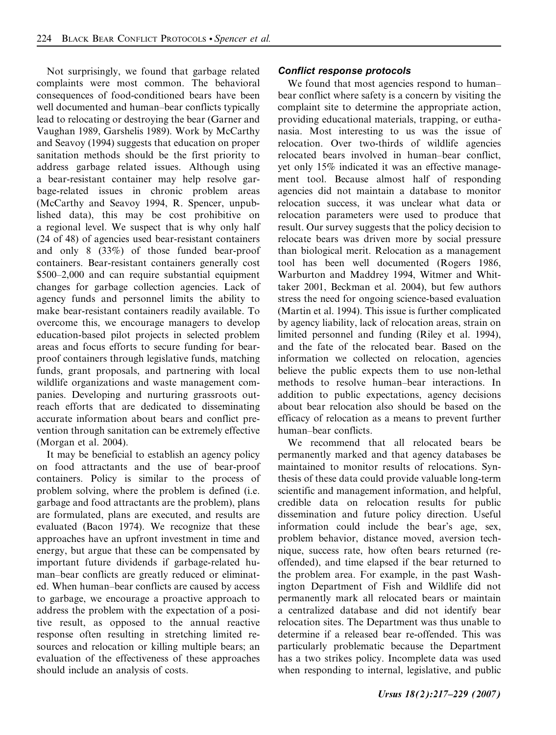Not surprisingly, we found that garbage related complaints were most common. The behavioral consequences of food-conditioned bears have been well documented and human–bear conflicts typically lead to relocating or destroying the bear (Garner and Vaughan 1989, Garshelis 1989). Work by McCarthy and Seavoy (1994) suggests that education on proper sanitation methods should be the first priority to address garbage related issues. Although using a bear-resistant container may help resolve garbage-related issues in chronic problem areas (McCarthy and Seavoy 1994, R. Spencer, unpublished data), this may be cost prohibitive on a regional level. We suspect that is why only half (24 of 48) of agencies used bear-resistant containers and only 8 (33%) of those funded bear-proof containers. Bear-resistant containers generally cost \$500–2,000 and can require substantial equipment changes for garbage collection agencies. Lack of agency funds and personnel limits the ability to make bear-resistant containers readily available. To overcome this, we encourage managers to develop education-based pilot projects in selected problem areas and focus efforts to secure funding for bearproof containers through legislative funds, matching funds, grant proposals, and partnering with local wildlife organizations and waste management companies. Developing and nurturing grassroots outreach efforts that are dedicated to disseminating accurate information about bears and conflict prevention through sanitation can be extremely effective (Morgan et al. 2004).

It may be beneficial to establish an agency policy on food attractants and the use of bear-proof containers. Policy is similar to the process of problem solving, where the problem is defined (i.e. garbage and food attractants are the problem), plans are formulated, plans are executed, and results are evaluated (Bacon 1974). We recognize that these approaches have an upfront investment in time and energy, but argue that these can be compensated by important future dividends if garbage-related human–bear conflicts are greatly reduced or eliminated. When human–bear conflicts are caused by access to garbage, we encourage a proactive approach to address the problem with the expectation of a positive result, as opposed to the annual reactive response often resulting in stretching limited resources and relocation or killing multiple bears; an evaluation of the effectiveness of these approaches should include an analysis of costs.

#### Conflict response protocols

We found that most agencies respond to human– bear conflict where safety is a concern by visiting the complaint site to determine the appropriate action, providing educational materials, trapping, or euthanasia. Most interesting to us was the issue of relocation. Over two-thirds of wildlife agencies relocated bears involved in human–bear conflict, yet only 15% indicated it was an effective management tool. Because almost half of responding agencies did not maintain a database to monitor relocation success, it was unclear what data or relocation parameters were used to produce that result. Our survey suggests that the policy decision to relocate bears was driven more by social pressure than biological merit. Relocation as a management tool has been well documented (Rogers 1986, Warburton and Maddrey 1994, Witmer and Whittaker 2001, Beckman et al. 2004), but few authors stress the need for ongoing science-based evaluation (Martin et al. 1994). This issue is further complicated by agency liability, lack of relocation areas, strain on limited personnel and funding (Riley et al. 1994), and the fate of the relocated bear. Based on the information we collected on relocation, agencies believe the public expects them to use non-lethal methods to resolve human–bear interactions. In addition to public expectations, agency decisions about bear relocation also should be based on the efficacy of relocation as a means to prevent further human–bear conflicts.

We recommend that all relocated bears be permanently marked and that agency databases be maintained to monitor results of relocations. Synthesis of these data could provide valuable long-term scientific and management information, and helpful, credible data on relocation results for public dissemination and future policy direction. Useful information could include the bear's age, sex, problem behavior, distance moved, aversion technique, success rate, how often bears returned (reoffended), and time elapsed if the bear returned to the problem area. For example, in the past Washington Department of Fish and Wildlife did not permanently mark all relocated bears or maintain a centralized database and did not identify bear relocation sites. The Department was thus unable to determine if a released bear re-offended. This was particularly problematic because the Department has a two strikes policy. Incomplete data was used when responding to internal, legislative, and public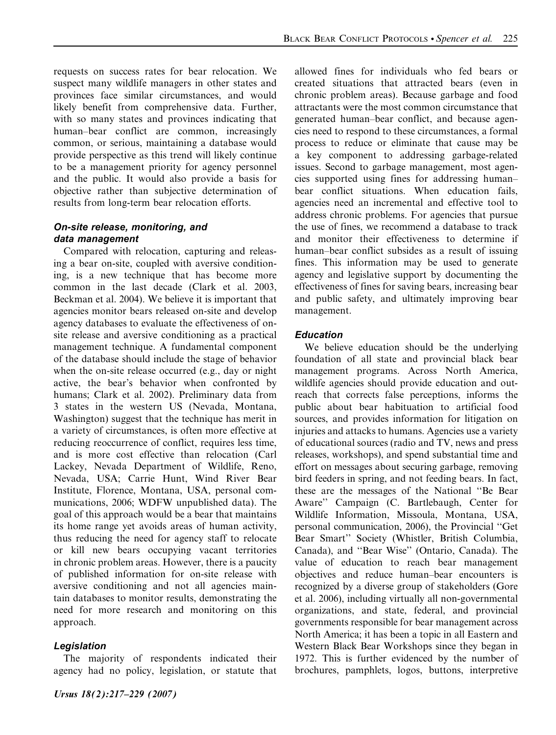requests on success rates for bear relocation. We suspect many wildlife managers in other states and provinces face similar circumstances, and would likely benefit from comprehensive data. Further, with so many states and provinces indicating that human–bear conflict are common, increasingly common, or serious, maintaining a database would provide perspective as this trend will likely continue to be a management priority for agency personnel and the public. It would also provide a basis for objective rather than subjective determination of results from long-term bear relocation efforts.

## On-site release, monitoring, and data management

Compared with relocation, capturing and releasing a bear on-site, coupled with aversive conditioning, is a new technique that has become more common in the last decade (Clark et al. 2003, Beckman et al. 2004). We believe it is important that agencies monitor bears released on-site and develop agency databases to evaluate the effectiveness of onsite release and aversive conditioning as a practical management technique. A fundamental component of the database should include the stage of behavior when the on-site release occurred (e.g., day or night active, the bear's behavior when confronted by humans; Clark et al. 2002). Preliminary data from 3 states in the western US (Nevada, Montana, Washington) suggest that the technique has merit in a variety of circumstances, is often more effective at reducing reoccurrence of conflict, requires less time, and is more cost effective than relocation (Carl Lackey, Nevada Department of Wildlife, Reno, Nevada, USA; Carrie Hunt, Wind River Bear Institute, Florence, Montana, USA, personal communications, 2006; WDFW unpublished data). The goal of this approach would be a bear that maintains its home range yet avoids areas of human activity, thus reducing the need for agency staff to relocate or kill new bears occupying vacant territories in chronic problem areas. However, there is a paucity of published information for on-site release with aversive conditioning and not all agencies maintain databases to monitor results, demonstrating the need for more research and monitoring on this approach.

## Legislation

The majority of respondents indicated their agency had no policy, legislation, or statute that allowed fines for individuals who fed bears or created situations that attracted bears (even in chronic problem areas). Because garbage and food attractants were the most common circumstance that generated human–bear conflict, and because agencies need to respond to these circumstances, a formal process to reduce or eliminate that cause may be a key component to addressing garbage-related issues. Second to garbage management, most agencies supported using fines for addressing human– bear conflict situations. When education fails, agencies need an incremental and effective tool to address chronic problems. For agencies that pursue the use of fines, we recommend a database to track and monitor their effectiveness to determine if human–bear conflict subsides as a result of issuing fines. This information may be used to generate agency and legislative support by documenting the effectiveness of fines for saving bears, increasing bear and public safety, and ultimately improving bear management.

## Education

We believe education should be the underlying foundation of all state and provincial black bear management programs. Across North America, wildlife agencies should provide education and outreach that corrects false perceptions, informs the public about bear habituation to artificial food sources, and provides information for litigation on injuries and attacks to humans. Agencies use a variety of educational sources (radio and TV, news and press releases, workshops), and spend substantial time and effort on messages about securing garbage, removing bird feeders in spring, and not feeding bears. In fact, these are the messages of the National ''Be Bear Aware'' Campaign (C. Bartlebaugh, Center for Wildlife Information, Missoula, Montana, USA, personal communication, 2006), the Provincial ''Get Bear Smart'' Society (Whistler, British Columbia, Canada), and ''Bear Wise'' (Ontario, Canada). The value of education to reach bear management objectives and reduce human–bear encounters is recognized by a diverse group of stakeholders (Gore et al. 2006), including virtually all non-governmental organizations, and state, federal, and provincial governments responsible for bear management across North America; it has been a topic in all Eastern and Western Black Bear Workshops since they began in 1972. This is further evidenced by the number of brochures, pamphlets, logos, buttons, interpretive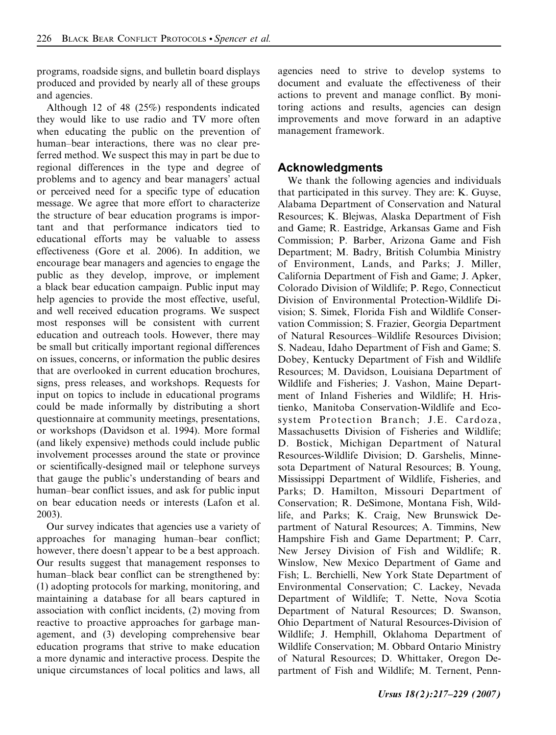programs, roadside signs, and bulletin board displays produced and provided by nearly all of these groups and agencies.

Although 12 of 48 (25%) respondents indicated they would like to use radio and TV more often when educating the public on the prevention of human–bear interactions, there was no clear preferred method. We suspect this may in part be due to regional differences in the type and degree of problems and to agency and bear managers' actual or perceived need for a specific type of education message. We agree that more effort to characterize the structure of bear education programs is important and that performance indicators tied to educational efforts may be valuable to assess effectiveness (Gore et al. 2006). In addition, we encourage bear managers and agencies to engage the public as they develop, improve, or implement a black bear education campaign. Public input may help agencies to provide the most effective, useful, and well received education programs. We suspect most responses will be consistent with current education and outreach tools. However, there may be small but critically important regional differences on issues, concerns, or information the public desires that are overlooked in current education brochures, signs, press releases, and workshops. Requests for input on topics to include in educational programs could be made informally by distributing a short questionnaire at community meetings, presentations, or workshops (Davidson et al. 1994). More formal (and likely expensive) methods could include public involvement processes around the state or province or scientifically-designed mail or telephone surveys that gauge the public's understanding of bears and human–bear conflict issues, and ask for public input on bear education needs or interests (Lafon et al. 2003).

Our survey indicates that agencies use a variety of approaches for managing human–bear conflict; however, there doesn't appear to be a best approach. Our results suggest that management responses to human–black bear conflict can be strengthened by: (1) adopting protocols for marking, monitoring, and maintaining a database for all bears captured in association with conflict incidents, (2) moving from reactive to proactive approaches for garbage management, and (3) developing comprehensive bear education programs that strive to make education a more dynamic and interactive process. Despite the unique circumstances of local politics and laws, all

agencies need to strive to develop systems to document and evaluate the effectiveness of their actions to prevent and manage conflict. By monitoring actions and results, agencies can design improvements and move forward in an adaptive management framework.

## Acknowledgments

We thank the following agencies and individuals that participated in this survey. They are: K. Guyse, Alabama Department of Conservation and Natural Resources; K. Blejwas, Alaska Department of Fish and Game; R. Eastridge, Arkansas Game and Fish Commission; P. Barber, Arizona Game and Fish Department; M. Badry, British Columbia Ministry of Environment, Lands, and Parks; J. Miller, California Department of Fish and Game; J. Apker, Colorado Division of Wildlife; P. Rego, Connecticut Division of Environmental Protection-Wildlife Division; S. Simek, Florida Fish and Wildlife Conservation Commission; S. Frazier, Georgia Department of Natural Resources–Wildlife Resources Division; S. Nadeau, Idaho Department of Fish and Game; S. Dobey, Kentucky Department of Fish and Wildlife Resources; M. Davidson, Louisiana Department of Wildlife and Fisheries; J. Vashon, Maine Department of Inland Fisheries and Wildlife; H. Hristienko, Manitoba Conservation-Wildlife and Ecosystem Protection Branch; J.E. Cardoza, Massachusetts Division of Fisheries and Wildlife; D. Bostick, Michigan Department of Natural Resources-Wildlife Division; D. Garshelis, Minnesota Department of Natural Resources; B. Young, Mississippi Department of Wildlife, Fisheries, and Parks; D. Hamilton, Missouri Department of Conservation; R. DeSimone, Montana Fish, Wildlife, and Parks; K. Craig, New Brunswick Department of Natural Resources; A. Timmins, New Hampshire Fish and Game Department; P. Carr, New Jersey Division of Fish and Wildlife; R. Winslow, New Mexico Department of Game and Fish; L. Berchielli, New York State Department of Environmental Conservation; C. Lackey, Nevada Department of Wildlife; T. Nette, Nova Scotia Department of Natural Resources; D. Swanson, Ohio Department of Natural Resources-Division of Wildlife; J. Hemphill, Oklahoma Department of Wildlife Conservation; M. Obbard Ontario Ministry of Natural Resources; D. Whittaker, Oregon Department of Fish and Wildlife; M. Ternent, Penn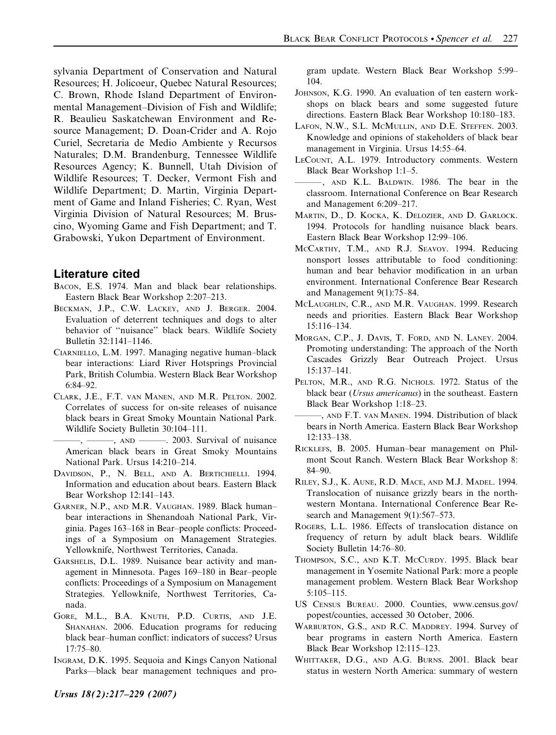sylvania Department of Conservation and Natural Resources; H. Jolicoeur, Quebec Natural Resources; C. Brown, Rhode Island Department of Environmental Management–Division of Fish and Wildlife; R. Beaulieu Saskatchewan Environment and Resource Management; D. Doan-Crider and A. Rojo Curiel, Secretaria de Medio Ambiente y Recursos Naturales; D.M. Brandenburg, Tennessee Wildlife Resources Agency; K. Bunnell, Utah Division of Wildlife Resources; T. Decker, Vermont Fish and Wildlife Department; D. Martin, Virginia Department of Game and Inland Fisheries; C. Ryan, West Virginia Division of Natural Resources; M. Bruscino, Wyoming Game and Fish Department; and T. Grabowski, Yukon Department of Environment.

### Literature cited

- BACON, E.S. 1974. Man and black bear relationships. Eastern Black Bear Workshop 2:207–213.
- BECKMAN, J.P., C.W. LACKEY, AND J. BERGER. 2004. Evaluation of deterrent techniques and dogs to alter behavior of ''nuisance'' black bears. Wildlife Society Bulletin 32:1141–1146.
- CIARNIELLO, L.M. 1997. Managing negative human–black bear interactions: Liard River Hotsprings Provincial Park, British Columbia. Western Black Bear Workshop 6:84–92.
- CLARK, J.E., F.T. VAN MANEN, AND M.R. PELTON. 2002. Correlates of success for on-site releases of nuisance black bears in Great Smoky Mountain National Park. Wildlife Society Bulletin 30:104–111.

———, ———, AND ———. 2003. Survival of nuisance American black bears in Great Smoky Mountains National Park. Ursus 14:210–214.

- DAVIDSON, P., N. BELL, AND A. BERTICHIELLI. 1994. Information and education about bears. Eastern Black Bear Workshop 12:141–143.
- GARNER, N.P., AND M.R. VAUGHAN. 1989. Black human– bear interactions in Shenandoah National Park, Virginia. Pages 163–168 in Bear–people conflicts: Proceedings of a Symposium on Management Strategies. Yellowknife, Northwest Territories, Canada.
- GARSHELIS, D.L. 1989. Nuisance bear activity and management in Minnesota. Pages 169–180 in Bear–people conflicts: Proceedings of a Symposium on Management Strategies. Yellowknife, Northwest Territories, Canada.
- GORE, M.L., B.A. KNUTH, P.D. CURTIS, AND J.E. SHANAHAN. 2006. Education programs for reducing black bear–human conflict: indicators of success? Ursus 17:75–80.
- INGRAM, D.K. 1995. Sequoia and Kings Canyon National Parks—black bear management techniques and pro-

gram update. Western Black Bear Workshop 5:99– 104.

- JOHNSON, K.G. 1990. An evaluation of ten eastern workshops on black bears and some suggested future directions. Eastern Black Bear Workshop 10:180–183.
- LAFON, N.W., S.L. MCMULLIN, AND D.E. STEFFEN. 2003. Knowledge and opinions of stakeholders of black bear management in Virginia. Ursus 14:55–64.
- LECOUNT, A.L. 1979. Introductory comments. Western Black Bear Workshop 1:1–5.
- ———, AND K.L. BALDWIN. 1986. The bear in the classroom. International Conference on Bear Research and Management 6:209–217.
- MARTIN, D., D. KOCKA, K. DELOZIER, AND D. GARLOCK. 1994. Protocols for handling nuisance black bears. Eastern Black Bear Workshop 12:99–106.
- MCCARTHY, T.M., AND R.J. SEAVOY. 1994. Reducing nonsport losses attributable to food conditioning: human and bear behavior modification in an urban environment. International Conference Bear Research and Management 9(1):75–84.
- MCLAUGHLIN, C.R., AND M.R. VAUGHAN. 1999. Research needs and priorities. Eastern Black Bear Workshop 15:116–134.
- MORGAN, C.P., J. DAVIS, T. FORD, AND N. LANEY. 2004. Promoting understanding: The approach of the North Cascades Grizzly Bear Outreach Project. Ursus 15:137–141.
- PELTON, M.R., AND R.G. NICHOLS. 1972. Status of the black bear (Ursus americanus) in the southeast. Eastern Black Bear Workshop 1:18–23.
- -, AND F.T. VAN MANEN. 1994. Distribution of black bears in North America. Eastern Black Bear Workshop 12:133–138.
- RICKLEFS, B. 2005. Human–bear management on Philmont Scout Ranch. Western Black Bear Workshop 8: 84–90.
- RILEY, S.J., K. AUNE, R.D. MACE, AND M.J. MADEL. 1994. Translocation of nuisance grizzly bears in the northwestern Montana. International Conference Bear Research and Management 9(1):567–573.
- ROGERS, L.L. 1986. Effects of translocation distance on frequency of return by adult black bears. Wildlife Society Bulletin 14:76–80.
- THOMPSON, S.C., AND K.T. McCURDY. 1995. Black bear management in Yosemite National Park: more a people management problem. Western Black Bear Workshop 5:105–115.
- US CENSUS BUREAU. 2000. Counties, www.census.gov/ popest/counties, accessed 30 October, 2006.
- WARBURTON, G.S., AND R.C. MADDREY. 1994. Survey of bear programs in eastern North America. Eastern Black Bear Workshop 12:115–123.
- WHITTAKER, D.G., AND A.G. BURNS. 2001. Black bear status in western North America: summary of western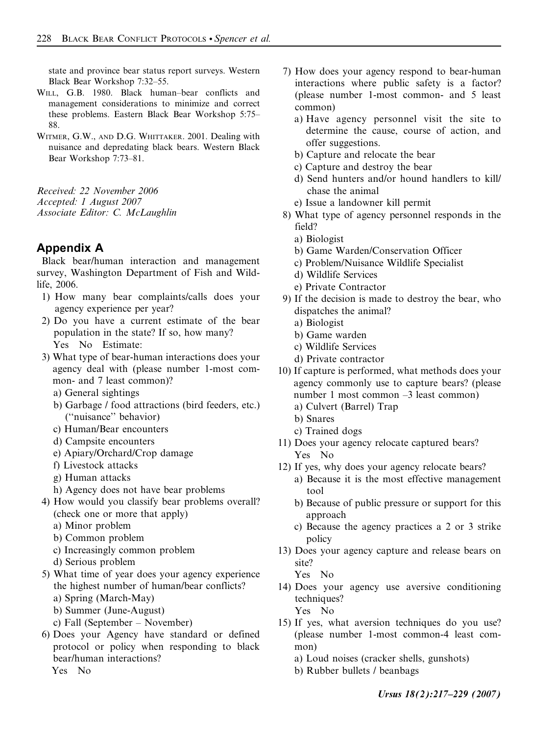state and province bear status report surveys. Western Black Bear Workshop 7:32–55.

- WILL, G.B. 1980. Black human–bear conflicts and management considerations to minimize and correct these problems. Eastern Black Bear Workshop 5:75– 88.
- WITMER, G.W., AND D.G. WHITTAKER. 2001. Dealing with nuisance and depredating black bears. Western Black Bear Workshop 7:73–81.

Received: 22 November 2006 Accepted: 1 August 2007 Associate Editor: C. McLaughlin

## Appendix A

Black bear/human interaction and management survey, Washington Department of Fish and Wildlife, 2006.

- 1) How many bear complaints/calls does your agency experience per year?
- 2) Do you have a current estimate of the bear population in the state? If so, how many? Yes No Estimate:
- 3) What type of bear-human interactions does your agency deal with (please number 1-most common- and 7 least common)?
	- a) General sightings
	- b) Garbage / food attractions (bird feeders, etc.) (''nuisance'' behavior)
	- c) Human/Bear encounters
	- d) Campsite encounters
	- e) Apiary/Orchard/Crop damage
	- f) Livestock attacks
	- g) Human attacks
	- h) Agency does not have bear problems
- 4) How would you classify bear problems overall? (check one or more that apply)
	- a) Minor problem
	- b) Common problem
	- c) Increasingly common problem
	- d) Serious problem
- 5) What time of year does your agency experience the highest number of human/bear conflicts?
	- a) Spring (March-May)
	- b) Summer (June-August)
	- c) Fall (September November)
- 6) Does your Agency have standard or defined protocol or policy when responding to black bear/human interactions? Yes No
- 7) How does your agency respond to bear-human interactions where public safety is a factor? (please number 1-most common- and 5 least common)
	- a) Have agency personnel visit the site to determine the cause, course of action, and offer suggestions.
	- b) Capture and relocate the bear
	- c) Capture and destroy the bear
	- d) Send hunters and/or hound handlers to kill/ chase the animal
	- e) Issue a landowner kill permit
- 8) What type of agency personnel responds in the field?
	- a) Biologist
	- b) Game Warden/Conservation Officer
	- c) Problem/Nuisance Wildlife Specialist
	- d) Wildlife Services
	- e) Private Contractor
- 9) If the decision is made to destroy the bear, who dispatches the animal?
	- a) Biologist
	- b) Game warden
	- c) Wildlife Services
	- d) Private contractor
- 10) If capture is performed, what methods does your agency commonly use to capture bears? (please number 1 most common –3 least common)
	- a) Culvert (Barrel) Trap
	- b) Snares
	- c) Trained dogs
- 11) Does your agency relocate captured bears? Yes No
- 12) If yes, why does your agency relocate bears?
	- a) Because it is the most effective management tool
	- b) Because of public pressure or support for this approach
	- c) Because the agency practices a 2 or 3 strike policy
- 13) Does your agency capture and release bears on site?
	- Yes No
- 14) Does your agency use aversive conditioning techniques?

Yes No

- 15) If yes, what aversion techniques do you use? (please number 1-most common-4 least common)
	- a) Loud noises (cracker shells, gunshots)
	- b) Rubber bullets / beanbags